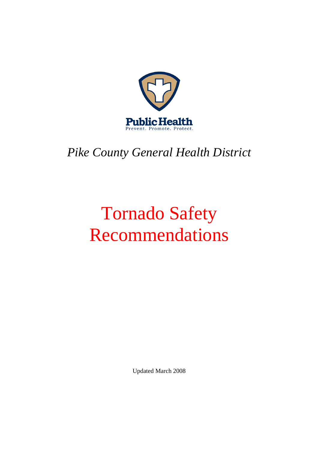

## *Pike County General Health District*

# Tornado Safety Recommendations

Updated March 2008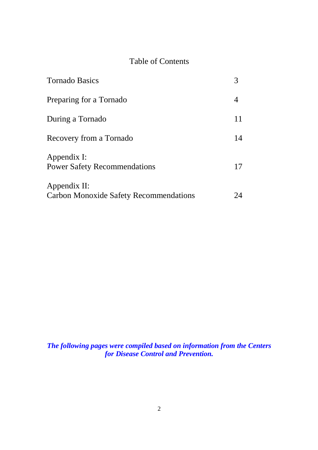### Table of Contents

| <b>Tornado Basics</b>                                         |    |
|---------------------------------------------------------------|----|
| Preparing for a Tornado                                       | 4  |
| During a Tornado                                              |    |
| Recovery from a Tornado                                       | 14 |
| Appendix I:<br><b>Power Safety Recommendations</b>            | 17 |
| Appendix II:<br><b>Carbon Monoxide Safety Recommendations</b> | /4 |

*The following pages were compiled based on information from the Centers for Disease Control and Prevention.*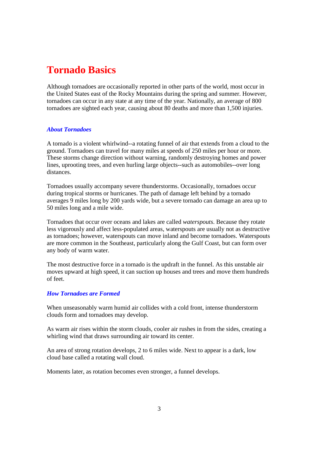## **Tornado Basics**

Although tornadoes are occasionally reported in other parts of the world, most occur in the United States east of the Rocky Mountains during the spring and summer. However, tornadoes can occur in any state at any time of the year. Nationally, an average of 800 tornadoes are sighted each year, causing about 80 deaths and more than 1,500 injuries.

#### *About Tornadoes*

A tornado is a violent whirlwind--a rotating funnel of air that extends from a cloud to the ground. Tornadoes can travel for many miles at speeds of 250 miles per hour or more. These storms change direction without warning, randomly destroying homes and power lines, uprooting trees, and even hurling large objects--such as automobiles--over long distances.

Tornadoes usually accompany severe thunderstorms. Occasionally, tornadoes occur during tropical storms or hurricanes. The path of damage left behind by a tornado averages 9 miles long by 200 yards wide, but a severe tornado can damage an area up to 50 miles long and a mile wide.

Tornadoes that occur over oceans and lakes are called *waterspouts*. Because they rotate less vigorously and affect less-populated areas, waterspouts are usually not as destructive as tornadoes; however, waterspouts can move inland and become tornadoes. Waterspouts are more common in the Southeast, particularly along the Gulf Coast, but can form over any body of warm water.

The most destructive force in a tornado is the updraft in the funnel. As this unstable air moves upward at high speed, it can suction up houses and trees and move them hundreds of feet.

#### *How Tornadoes are Formed*

When unseasonably warm humid air collides with a cold front, intense thunderstorm clouds form and tornadoes may develop.

As warm air rises within the storm clouds, cooler air rushes in from the sides, creating a whirling wind that draws surrounding air toward its center.

An area of strong rotation develops, 2 to 6 miles wide. Next to appear is a dark, low cloud base called a rotating wall cloud.

Moments later, as rotation becomes even stronger, a funnel develops.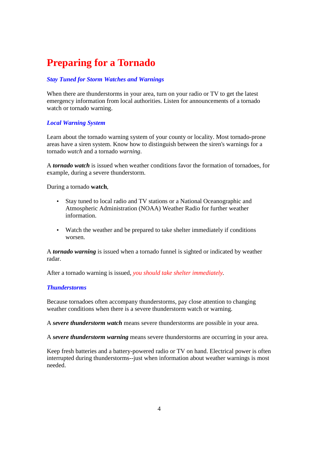## **Preparing for a Tornado**

#### *Stay Tuned for Storm Watches and Warnings*

When there are thunderstorms in your area, turn on your radio or TV to get the latest emergency information from local authorities. Listen for announcements of a tornado watch or tornado warning.

#### *Local Warning System*

Learn about the tornado warning system of your county or locality. Most tornado-prone areas have a siren system. Know how to distinguish between the siren's warnings for a tornado *watch* and a tornado *warning*.

A *tornado watch* is issued when weather conditions favor the formation of tornadoes, for example, during a severe thunderstorm.

During a tornado **watch**,

- Stay tuned to local radio and TV stations or a National Oceanographic and Atmospheric Administration (NOAA) Weather Radio for further weather information.
- Watch the weather and be prepared to take shelter immediately if conditions worsen.

A *tornado warning* is issued when a tornado funnel is sighted or indicated by weather radar.

After a tornado warning is issued, *you should take shelter immediately.*

#### *Thunderstorms*

Because tornadoes often accompany thunderstorms, pay close attention to changing weather conditions when there is a severe thunderstorm watch or warning.

A *severe thunderstorm watch* means severe thunderstorms are possible in your area.

A *severe thunderstorm warning* means severe thunderstorms are occurring in your area.

Keep fresh batteries and a battery-powered radio or TV on hand. Electrical power is often interrupted during thunderstorms--just when information about weather warnings is most needed.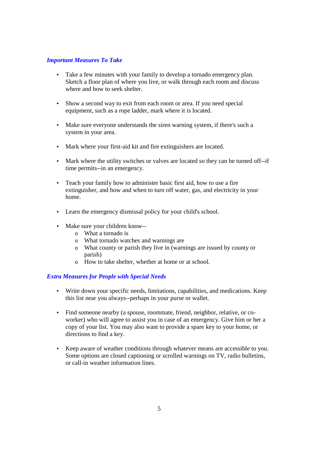#### *Important Measures To Take*

- Take a few minutes with your family to develop a tornado emergency plan. Sketch a floor plan of where you live, or walk through each room and discuss where and how to seek shelter.
- Show a second way to exit from each room or area. If you need special equipment, such as a rope ladder, mark where it is located.
- Make sure everyone understands the siren warning system, if there's such a system in your area.
- Mark where your first-aid kit and fire extinguishers are located.
- Mark where the utility switches or valves are located so they can be turned off--if time permits--in an emergency.
- Teach your family how to administer basic first aid, how to use a fire extinguisher, and how and when to turn off water, gas, and electricity in your home.
- Learn the emergency dismissal policy for your child's school.
- Make sure your children know-
	- o What a tornado is
	- o What tornado watches and warnings are
	- o What county or parish they live in (warnings are issued by county or parish)
	- o How to take shelter, whether at home or at school.

#### *Extra Measures for People with Special Needs*

- Write down your specific needs, limitations, capabilities, and medications. Keep this list near you always--perhaps in your purse or wallet.
- Find someone nearby (a spouse, roommate, friend, neighbor, relative, or coworker) who will agree to assist you in case of an emergency. Give him or her a copy of your list. You may also want to provide a spare key to your home, or directions to find a key.
- Keep aware of weather conditions through whatever means are accessible to you. Some options are closed captioning or scrolled warnings on TV, radio bulletins, or call-in weather information lines.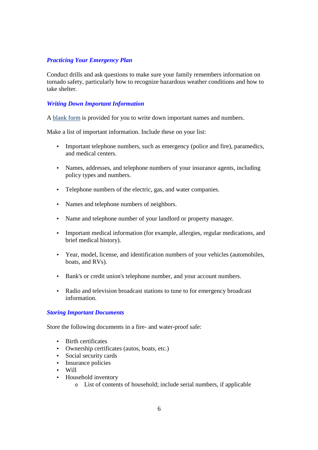#### *Practicing Your Emergency Plan*

Conduct drills and ask questions to make sure your family remembers information on tornado safety, particularly how to recognize hazardous weather conditions and how to take shelter.

#### *Writing Down Important Information*

A blank form is provided for you to write down important names and numbers.

Make a list of important information. Include these on your list:

- Important telephone numbers, such as emergency (police and fire), paramedics, and medical centers.
- Names, addresses, and telephone numbers of your insurance agents, including policy types and numbers.
- Telephone numbers of the electric, gas, and water companies.
- Names and telephone numbers of neighbors.
- Name and telephone number of your landlord or property manager.
- Important medical information (for example, allergies, regular medications, and brief medical history).
- Year, model, license, and identification numbers of your vehicles (automobiles, boats, and RVs).
- Bank's or credit union's telephone number, and your account numbers.
- Radio and television broadcast stations to tune to for emergency broadcast information.

#### *Storing Important Documents*

Store the following documents in a fire- and water-proof safe:

- Birth certificates
- Ownership certificates (autos, boats, etc.)
- Social security cards
- Insurance policies
- Will
- Household inventory
	- o List of contents of household; include serial numbers, if applicable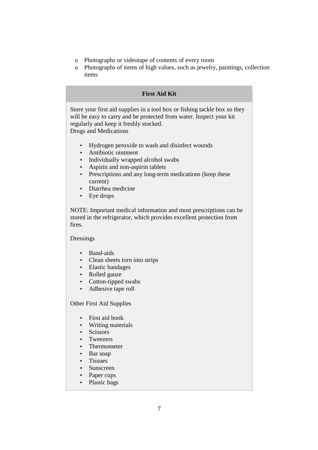- o Photographs or videotape of contents of every room
- o Photographs of items of high values, such as jewelry, paintings, collection items

#### **First Aid Kit**

Store your first aid supplies in a tool box or fishing tackle box so they will be easy to carry and be protected from water. Inspect your kit regularly and keep it freshly stocked. Drugs and Medications

• Hydrogen peroxide to wash and disinfect wounds

- Antibiotic ointment
- Individually wrapped alcohol swabs
- Aspirin and non-aspirin tablets
- Prescriptions and any long-term medications (keep these current)
- Diarrhea medicine
- Eye drops

NOTE: Important medical information and most prescriptions can be stored in the refrigerator, which provides excellent protection from fires.

Dressings

- Band-aids
- Clean sheets torn into strips
- Elastic bandages
- Rolled gauze
- Cotton-tipped swabs
- Adhesive tape roll

Other First Aid Supplies

- First aid book
- Writing materials
- Scissors
- Tweezers
- **Thermometer**
- Bar soap
- Tissues
- **Sunscreen**
- Paper cups
- Plastic bags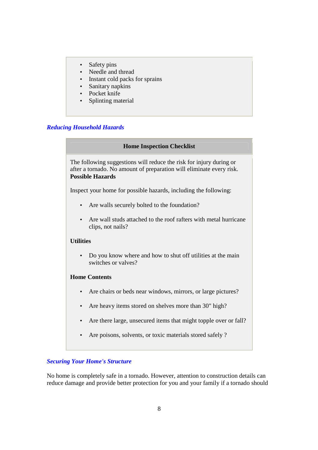- Safety pins
- Needle and thread
- Instant cold packs for sprains
- Sanitary napkins
- Pocket knife
- Splinting material

#### *Reducing Household Hazards*

#### **Home Inspection Checklist**

The following suggestions will reduce the risk for injury during or after a tornado. No amount of preparation will eliminate every risk. **Possible Hazards**

Inspect your home for possible hazards, including the following:

- Are walls securely bolted to the foundation?
- Are wall studs attached to the roof rafters with metal hurricane clips, not nails?

#### **Utilities**

• Do you know where and how to shut off utilities at the main switches or valves?

#### **Home Contents**

- Are chairs or beds near windows, mirrors, or large pictures?
- Are heavy items stored on shelves more than 30" high?
- Are there large, unsecured items that might topple over or fall?
- Are poisons, solvents, or toxic materials stored safely ?

#### *Securing Your Home's Structure*

No home is completely safe in a tornado. However, attention to construction details can reduce damage and provide better protection for you and your family if a tornado should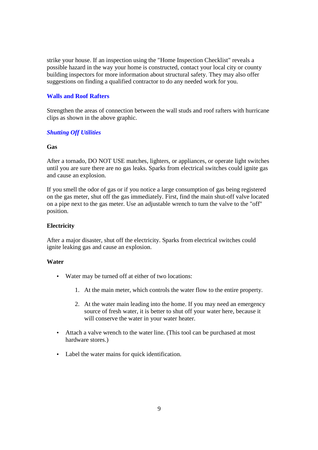strike your house. If an inspection using the "Home Inspection Checklist" reveals a possible hazard in the way your home is constructed, contact your local city or county building inspectors for more information about structural safety. They may also offer suggestions on finding a qualified contractor to do any needed work for you.

#### **Walls and Roof Rafters**

Strengthen the areas of connection between the wall studs and roof rafters with hurricane clips as shown in the above graphic.

#### *Shutting Off Utilities*

#### **Gas**

After a tornado, DO NOT USE matches, lighters, or appliances, or operate light switches until you are sure there are no gas leaks. Sparks from electrical switches could ignite gas and cause an explosion.

If you smell the odor of gas or if you notice a large consumption of gas being registered on the gas meter, shut off the gas immediately. First, find the main shut-off valve located on a pipe next to the gas meter. Use an adjustable wrench to turn the valve to the "off" position.

#### **Electricity**

After a major disaster, shut off the electricity. Sparks from electrical switches could ignite leaking gas and cause an explosion.

#### **Water**

- Water may be turned off at either of two locations:
	- 1. At the main meter, which controls the water flow to the entire property.
	- 2. At the water main leading into the home. If you may need an emergency source of fresh water, it is better to shut off your water here, because it will conserve the water in your water heater.
- Attach a valve wrench to the water line. (This tool can be purchased at most hardware stores.)
- Label the water mains for quick identification.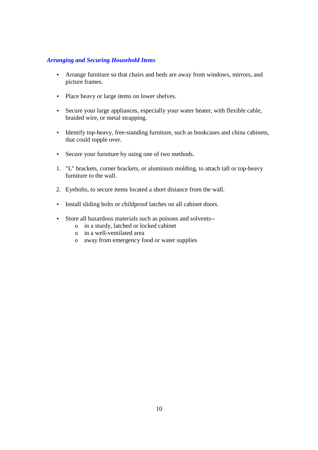#### *Arranging and Securing Household Items*

- Arrange furniture so that chairs and beds are away from windows, mirrors, and picture frames.
- Place heavy or large items on lower shelves.
- Secure your large appliances, especially your water heater, with flexible cable, braided wire, or metal strapping.
- Identify top-heavy, free-standing furniture, such as bookcases and china cabinets, that could topple over.
- Secure your furniture by using one of two methods.
- 1. "L" brackets, corner brackets, or aluminum molding, to attach tall or top-heavy furniture to the wall.
- 2. Eyebolts, to secure items located a short distance from the wall.
- Install sliding bolts or childproof latches on all cabinet doors.
- Store all hazardous materials such as poisons and solvents-
	- o in a sturdy, latched or locked cabinet
	- o in a well-ventilated area
	- o away from emergency food or water supplies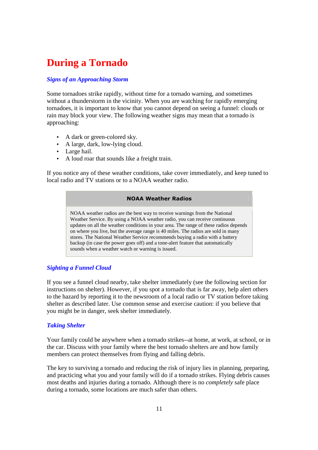## **During a Tornado**

#### *Signs of an Approaching Storm*

Some tornadoes strike rapidly, without time for a tornado warning, and sometimes without a thunderstorm in the vicinity. When you are watching for rapidly emerging tornadoes, it is important to know that you cannot depend on seeing a funnel: clouds or rain may block your view. The following weather signs may mean that a tornado is approaching:

- A dark or green-colored sky.
- A large, dark, low-lying cloud.
- Large hail.
- A loud roar that sounds like a freight train.

If you notice any of these weather conditions, take cover immediately, and keep tuned to local radio and TV stations or to a NOAA weather radio.

#### **NOAA Weather Radios**

NOAA weather radios are the best way to receive warnings from the National Weather Service. By using a NOAA weather radio, you can receive continuous updates on all the weather conditions in your area. The range of these radios depends on where you live, but the average range is 40 miles. The radios are sold in many stores. The National Weather Service recommends buying a radio with a battery backup (in case the power goes off) and a tone-alert feature that automatically sounds when a weather watch or warning is issued.

#### *Sighting a Funnel Cloud*

If you see a funnel cloud nearby, take shelter immediately (see the following section for instructions on shelter). However, if you spot a tornado that is far away, help alert others to the hazard by reporting it to the newsroom of a local radio or TV station before taking shelter as described later. Use common sense and exercise caution: if you believe that you might be in danger, seek shelter immediately.

#### *Taking Shelter*

Your family could be anywhere when a tornado strikes--at home, at work, at school, or in the car. Discuss with your family where the best tornado shelters are and how family members can protect themselves from flying and falling debris.

The key to surviving a tornado and reducing the risk of injury lies in planning, preparing, and practicing what you and your family will do if a tornado strikes. Flying debris causes most deaths and injuries during a tornado. Although there is no *completely* safe place during a tornado, some locations are much safer than others.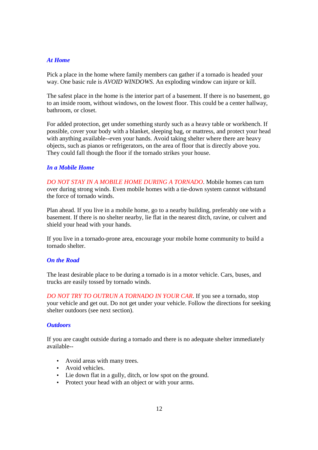#### *At Home*

Pick a place in the home where family members can gather if a tornado is headed your way. One basic rule is *AVOID WINDOWS.* An exploding window can injure or kill.

The safest place in the home is the interior part of a basement. If there is no basement, go to an inside room, without windows, on the lowest floor. This could be a center hallway, bathroom, or closet.

For added protection, get under something sturdy such as a heavy table or workbench. If possible, cover your body with a blanket, sleeping bag, or mattress, and protect your head with anything available--even your hands. Avoid taking shelter where there are heavy objects, such as pianos or refrigerators, on the area of floor that is directly above you. They could fall though the floor if the tornado strikes your house.

#### *In a Mobile Home*

*DO NOT STAY IN A MOBILE HOME DURING A TORNADO*. Mobile homes can turn over during strong winds. Even mobile homes with a tie-down system cannot withstand the force of tornado winds.

Plan ahead. If you live in a mobile home, go to a nearby building, preferably one with a basement. If there is no shelter nearby, lie flat in the nearest ditch, ravine, or culvert and shield your head with your hands.

If you live in a tornado-prone area, encourage your mobile home community to build a tornado shelter.

#### *On the Road*

The least desirable place to be during a tornado is in a motor vehicle. Cars, buses, and trucks are easily tossed by tornado winds.

*DO NOT TRY TO OUTRUN A TORNADO IN YOUR CAR*. If you see a tornado, stop your vehicle and get out. Do not get under your vehicle. Follow the directions for seeking shelter outdoors (see next section).

#### *Outdoors*

If you are caught outside during a tornado and there is no adequate shelter immediately available--

- Avoid areas with many trees.
- Avoid vehicles.
- Lie down flat in a gully, ditch, or low spot on the ground.
- Protect your head with an object or with your arms.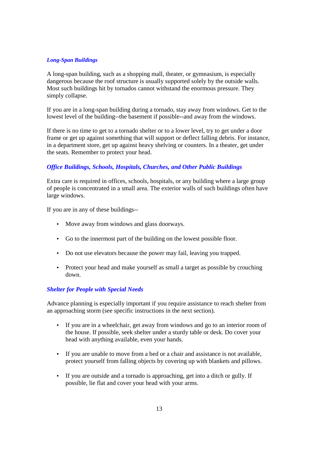#### *Long-Span Buildings*

A long-span building, such as a shopping mall, theater, or gymnasium, is especially dangerous because the roof structure is usually supported solely by the outside walls. Most such buildings hit by tornados cannot withstand the enormous pressure. They simply collapse.

If you are in a long-span building during a tornado, stay away from windows. Get to the lowest level of the building--the basement if possible--and away from the windows.

If there is no time to get to a tornado shelter or to a lower level, try to get under a door frame or get up against something that will support or deflect falling debris. For instance, in a department store, get up against heavy shelving or counters. In a theater, get under the seats. Remember to protect your head.

#### *Office Buildings, Schools, Hospitals, Churches, and Other Public Buildings*

Extra care is required in offices, schools, hospitals, or any building where a large group of people is concentrated in a small area. The exterior walls of such buildings often have large windows.

If you are in any of these buildings--

- Move away from windows and glass doorways.
- Go to the innermost part of the building on the lowest possible floor.
- Do not use elevators because the power may fail, leaving you trapped.
- Protect your head and make yourself as small a target as possible by crouching down.

#### *Shelter for People with Special Needs*

Advance planning is especially important if you require assistance to reach shelter from an approaching storm (see specific instructions in the next section).

- If you are in a wheelchair, get away from windows and go to an interior room of the house. If possible, seek shelter under a sturdy table or desk. Do cover your head with anything available, even your hands.
- If you are unable to move from a bed or a chair and assistance is not available, protect yourself from falling objects by covering up with blankets and pillows.
- If you are outside and a tornado is approaching, get into a ditch or gully. If possible, lie flat and cover your head with your arms.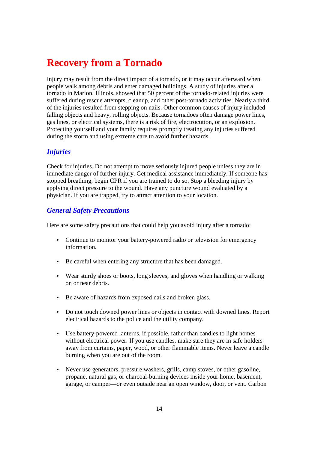## **Recovery from a Tornado**

Injury may result from the direct impact of a tornado, or it may occur afterward when people walk among debris and enter damaged buildings. A study of injuries after a tornado in Marion, Illinois, showed that 50 percent of the tornado-related injuries were suffered during rescue attempts, cleanup, and other post-tornado activities. Nearly a third of the injuries resulted from stepping on nails. Other common causes of injury included falling objects and heavy, rolling objects. Because tornadoes often damage power lines, gas lines, or electrical systems, there is a risk of fire, electrocution, or an explosion. Protecting yourself and your family requires promptly treating any injuries suffered during the storm and using extreme care to avoid further hazards.

#### *Injuries*

Check for injuries. Do not attempt to move seriously injured people unless they are in immediate danger of further injury. Get medical assistance immediately. If someone has stopped breathing, begin CPR if you are trained to do so. Stop a bleeding injury by applying direct pressure to the wound. Have any puncture wound evaluated by a physician. If you are trapped, try to attract attention to your location.

#### *General Safety Precautions*

Here are some safety precautions that could help you avoid injury after a tornado:

- Continue to monitor your battery-powered radio or television for emergency information.
- Be careful when entering any structure that has been damaged.
- Wear sturdy shoes or boots, long sleeves, and gloves when handling or walking on or near debris.
- Be aware of hazards from exposed nails and broken glass.
- Do not touch downed power lines or objects in contact with downed lines. Report electrical hazards to the police and the utility company.
- Use battery-powered lanterns, if possible, rather than candles to light homes without electrical power. If you use candles, make sure they are in safe holders away from curtains, paper, wood, or other flammable items. Never leave a candle burning when you are out of the room.
- Never use generators, pressure washers, grills, camp stoves, or other gasoline, propane, natural gas, or charcoal-burning devices inside your home, basement, garage, or camper—or even outside near an open window, door, or vent. Carbon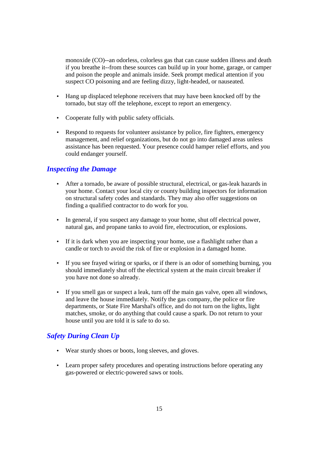monoxide (CO)--an odorless, colorless gas that can cause sudden illness and death if you breathe it--from these sources can build up in your home, garage, or camper and poison the people and animals inside. Seek prompt medical attention if you suspect CO poisoning and are feeling dizzy, light-headed, or nauseated.

- Hang up displaced telephone receivers that may have been knocked off by the tornado, but stay off the telephone, except to report an emergency.
- Cooperate fully with public safety officials.
- Respond to requests for volunteer assistance by police, fire fighters, emergency management, and relief organizations, but do not go into damaged areas unless assistance has been requested. Your presence could hamper relief efforts, and you could endanger yourself.

#### *Inspecting the Damage*

- After a tornado, be aware of possible structural, electrical, or gas-leak hazards in your home. Contact your local city or county building inspectors for information on structural safety codes and standards. They may also offer suggestions on finding a qualified contractor to do work for you.
- In general, if you suspect any damage to your home, shut off electrical power, natural gas, and propane tanks to avoid fire, electrocution, or explosions.
- If it is dark when you are inspecting your home, use a flashlight rather than a candle or torch to avoid the risk of fire or explosion in a damaged home.
- If you see frayed wiring or sparks, or if there is an odor of something burning, you should immediately shut off the electrical system at the main circuit breaker if you have not done so already.
- If you smell gas or suspect a leak, turn off the main gas valve, open all windows, and leave the house immediately. Notify the gas company, the police or fire departments, or State Fire Marshal's office, and do not turn on the lights, light matches, smoke, or do anything that could cause a spark. Do not return to your house until you are told it is safe to do so.

#### *Safety During Clean Up*

- Wear sturdy shoes or boots, long sleeves, and gloves.
- Learn proper safety procedures and operating instructions before operating any gas-powered or electric-powered saws or tools.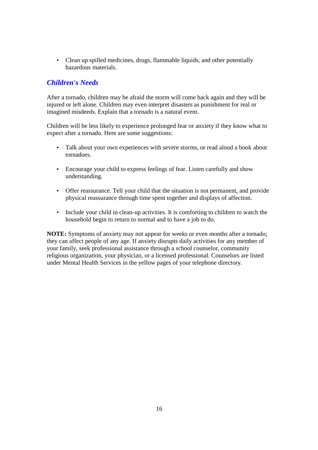• Clean up spilled medicines, drugs, flammable liquids, and other potentially hazardous materials.

#### *Children's Needs*

After a tornado, children may be afraid the storm will come back again and they will be injured or left alone. Children may even interpret disasters as punishment for real or imagined misdeeds. Explain that a tornado is a natural event.

Children will be less likely to experience prolonged fear or anxiety if they know what to expect after a tornado. Here are some suggestions:

- Talk about your own experiences with severe storms, or read aloud a book about tornadoes.
- Encourage your child to express feelings of fear. Listen carefully and show understanding.
- Offer reassurance. Tell your child that the situation is not permanent, and provide physical reassurance through time spent together and displays of affection.
- Include your child in clean-up activities. It is comforting to children to watch the household begin to return to normal and to have a job to do.

**NOTE:** Symptoms of anxiety may not appear for weeks or even months after a tornado; they can affect people of any age. If anxiety disrupts daily activities for any member of your family, seek professional assistance through a school counselor, community religious organization, your physician, or a licensed professional. Counselors are listed under Mental Health Services in the yellow pages of your telephone directory.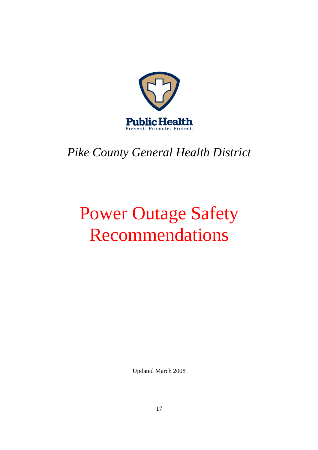

## *Pike County General Health District*

# Power Outage Safety Recommendations

Updated March 2008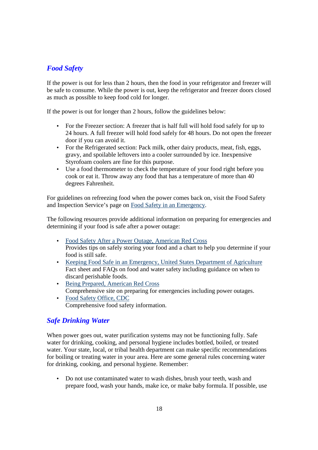#### *Food Safety*

If the power is out for less than 2 hours, then the food in your refrigerator and freezer will be safe to consume. While the power is out, keep the refrigerator and freezer doors closed as much as possible to keep food cold for longer.

If the power is out for longer than 2 hours, follow the guidelines below:

- For the Freezer section: A freezer that is half full will hold food safely for up to 24 hours. A full freezer will hold food safely for 48 hours. Do not open the freezer door if you can avoid it.
- For the Refrigerated section: Pack milk, other dairy products, meat, fish, eggs, gravy, and spoilable leftovers into a cooler surrounded by ice. Inexpensive Styrofoam coolers are fine for this purpose.
- Use a food thermometer to check the temperature of your food right before you cook or eat it. Throw away any food that has a temperature of more than 40 degrees Fahrenheit.

For guidelines on refreezing food when the power comes back on, visit the Food Safety and Inspection Service's page on Food Safety in an Emergency.

The following resources provide additional information on preparing for emergencies and determining if your food is safe after a power outage:

- Food Safety After a Power Outage, American Red Cross Provides tips on safely storing your food and a chart to help you determine if your food is still safe.
- Keeping Food Safe in an Emergency, United States Department of Agriculture Fact sheet and FAQs on food and water safety including guidance on when to discard perishable foods.
- Being Prepared, American Red Cross Comprehensive site on preparing for emergencies including power outages.
- Food Safety Office, CDC Comprehensive food safety information.

#### *Safe Drinking Water*

When power goes out, water purification systems may not be functioning fully. Safe water for drinking, cooking, and personal hygiene includes bottled, boiled, or treated water. Your state, local, or tribal health department can make specific recommendations for boiling or treating water in your area. Here are some general rules concerning water for drinking, cooking, and personal hygiene. Remember:

• Do not use contaminated water to wash dishes, brush your teeth, wash and prepare food, wash your hands, make ice, or make baby formula. If possible, use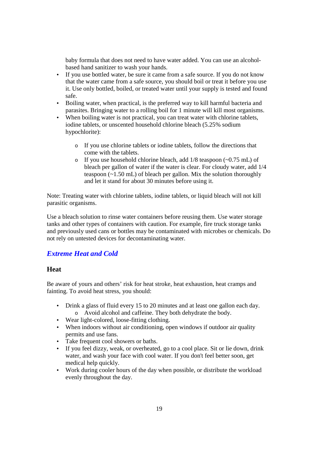baby formula that does not need to have water added. You can use an alcoholbased hand sanitizer to wash your hands.

- If you use bottled water, be sure it came from a safe source. If you do not know that the water came from a safe source, you should boil or treat it before you use it. Use only bottled, boiled, or treated water until your supply is tested and found safe.
- Boiling water, when practical, is the preferred way to kill harmful bacteria and parasites. Bringing water to a rolling boil for 1 minute will kill most organisms.
- When boiling water is not practical, you can treat water with chlorine tablets, iodine tablets, or unscented household chlorine bleach (5.25% sodium hypochlorite):
	- o If you use chlorine tablets or iodine tablets, follow the directions that come with the tablets.
	- o If you use household chlorine bleach, add 1/8 teaspoon (~0.75 mL) of bleach per gallon of water if the water is clear. For cloudy water, add 1/4 teaspoon  $(\sim 1.50 \text{ mL})$  of bleach per gallon. Mix the solution thoroughly and let it stand for about 30 minutes before using it.

Note: Treating water with chlorine tablets, iodine tablets, or liquid bleach will not kill parasitic organisms.

Use a bleach solution to rinse water containers before reusing them. Use water storage tanks and other types of containers with caution. For example, fire truck storage tanks and previously used cans or bottles may be contaminated with microbes or chemicals. Do not rely on untested devices for decontaminating water.

#### *Extreme Heat and Cold*

#### **Heat**

Be aware of yours and others' risk for heat stroke, heat exhaustion, heat cramps and fainting. To avoid heat stress, you should:

- Drink a glass of fluid every 15 to 20 minutes and at least one gallon each day. o Avoid alcohol and caffeine. They both dehydrate the body.
- Wear light-colored, loose-fitting clothing.
- When indoors without air conditioning, open windows if outdoor air quality permits and use fans.
- Take frequent cool showers or baths.
- If you feel dizzy, weak, or overheated, go to a cool place. Sit or lie down, drink water, and wash your face with cool water. If you don't feel better soon, get medical help quickly.
- Work during cooler hours of the day when possible, or distribute the workload evenly throughout the day.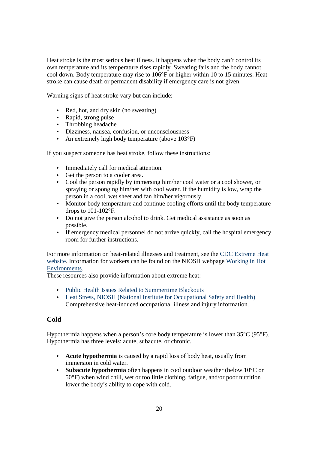Heat stroke is the most serious heat illness. It happens when the body can't control its own temperature and its temperature rises rapidly. Sweating fails and the body cannot cool down. Body temperature may rise to 106°F or higher within 10 to 15 minutes. Heat stroke can cause death or permanent disability if emergency care is not given.

Warning signs of heat stroke vary but can include:

- Red, hot, and dry skin (no sweating)
- Rapid, strong pulse
- Throbbing headache
- Dizziness, nausea, confusion, or unconsciousness
- An extremely high body temperature (above 103°F)

If you suspect someone has heat stroke, follow these instructions:

- Immediately call for medical attention.
- Get the person to a cooler area.
- Cool the person rapidly by immersing him/her cool water or a cool shower, or spraying or sponging him/her with cool water. If the humidity is low, wrap the person in a cool, wet sheet and fan him/her vigorously.
- Monitor body temperature and continue cooling efforts until the body temperature drops to 101-102°F.
- Do not give the person alcohol to drink. Get medical assistance as soon as possible.
- If emergency medical personnel do not arrive quickly, call the hospital emergency room for further instructions.

For more information on heat-related illnesses and treatment, see the CDC Extreme Heat website. Information for workers can be found on the NIOSH webpage Working in Hot Environments.

These resources also provide information about extreme heat:

- Public Health Issues Related to Summertime Blackouts
- Heat Stress, NIOSH (National Institute for Occupational Safety and Health) Comprehensive heat-induced occupational illness and injury information.

#### **Cold**

Hypothermia happens when a person's core body temperature is lower than 35°C (95°F). Hypothermia has three levels: acute, subacute, or chronic.

- **Acute hypothermia** is caused by a rapid loss of body heat, usually from immersion in cold water.
- **Subacute hypothermia** often happens in cool outdoor weather (below 10<sup>o</sup>C or 50°F) when wind chill, wet or too little clothing, fatigue, and/or poor nutrition lower the body's ability to cope with cold.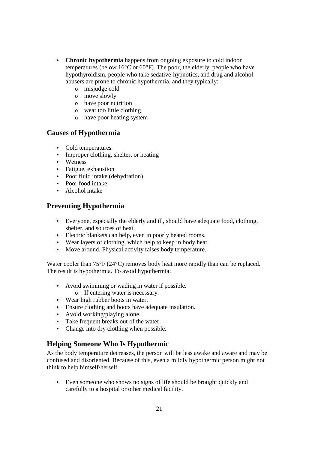- **Chronic hypothermia** happens from ongoing exposure to cold indoor temperatures (below 16°C or 60°F). The poor, the elderly, people who have hypothyroidism, people who take sedative-hypnotics, and drug and alcohol abusers are prone to chronic hypothermia, and they typically:
	- o misjudge cold
	- o move slowly
	- o have poor nutrition
	- o wear too little clothing
	- o have poor heating system

#### **Causes of Hypothermia**

- Cold temperatures
- Improper clothing, shelter, or heating
- Wetness
- Fatigue, exhaustion
- Poor fluid intake (dehydration)
- Poor food intake
- Alcohol intake

#### **Preventing Hypothermia**

- Everyone, especially the elderly and ill, should have adequate food, clothing, shelter, and sources of heat.
- Electric blankets can help, even in poorly heated rooms.
- Wear layers of clothing, which help to keep in body heat.
- Move around. Physical activity raises body temperature.

Water cooler than 75°F (24°C) removes body heat more rapidly than can be replaced. The result is hypothermia. To avoid hypothermia:

- Avoid swimming or wading in water if possible.
	- o If entering water is necessary:
- Wear high rubber boots in water.
- Ensure clothing and boots have adequate insulation.
- Avoid working/playing alone.
- Take frequent breaks out of the water.
- Change into dry clothing when possible.

#### **Helping Someone Who Is Hypothermic**

As the body temperature decreases, the person will be less awake and aware and may be confused and disoriented. Because of this, even a mildly hypothermic person might not think to help himself/herself.

• Even someone who shows no signs of life should be brought quickly and carefully to a hospital or other medical facility.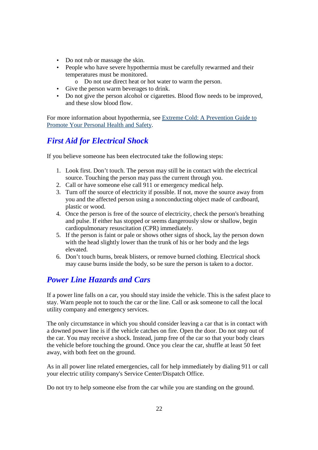- Do not rub or massage the skin.
- People who have severe hypothermia must be carefully rewarmed and their temperatures must be monitored.
	- o Do not use direct heat or hot water to warm the person.
- Give the person warm beverages to drink.
- Do not give the person alcohol or cigarettes. Blood flow needs to be improved, and these slow blood flow.

For more information about hypothermia, see Extreme Cold: A Prevention Guide to Promote Your Personal Health and Safety.

### *First Aid for Electrical Shock*

If you believe someone has been electrocuted take the following steps:

- 1. Look first. Don't touch. The person may still be in contact with the electrical source. Touching the person may pass the current through you.
- 2. Call or have someone else call 911 or emergency medical help.
- 3. Turn off the source of electricity if possible. If not, move the source away from you and the affected person using a nonconducting object made of cardboard, plastic or wood.
- 4. Once the person is free of the source of electricity, check the person's breathing and pulse. If either has stopped or seems dangerously slow or shallow, begin cardiopulmonary resuscitation (CPR) immediately.
- 5. If the person is faint or pale or shows other signs of shock, lay the person down with the head slightly lower than the trunk of his or her body and the legs elevated.
- 6. Don't touch burns, break blisters, or remove burned clothing. Electrical shock may cause burns inside the body, so be sure the person is taken to a doctor.

### *Power Line Hazards and Cars*

If a power line falls on a car, you should stay inside the vehicle. This is the safest place to stay. Warn people not to touch the car or the line. Call or ask someone to call the local utility company and emergency services.

The only circumstance in which you should consider leaving a car that is in contact with a downed power line is if the vehicle catches on fire. Open the door. Do not step out of the car. You may receive a shock. Instead, jump free of the car so that your body clears the vehicle before touching the ground. Once you clear the car, shuffle at least 50 feet away, with both feet on the ground.

As in all power line related emergencies, call for help immediately by dialing 911 or call your electric utility company's Service Center/Dispatch Office.

Do not try to help someone else from the car while you are standing on the ground.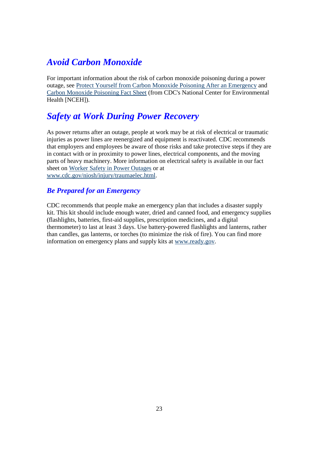## *Avoid Carbon Monoxide*

For important information about the risk of carbon monoxide poisoning during a power outage, see Protect Yourself from Carbon Monoxide Poisoning After an Emergency and Carbon Monoxide Poisoning Fact Sheet (from CDC's National Center for Environmental Health [NCEH]).

## *Safety at Work During Power Recovery*

As power returns after an outage, people at work may be at risk of electrical or traumatic injuries as power lines are reenergized and equipment is reactivated. CDC recommends that employers and employees be aware of those risks and take protective steps if they are in contact with or in proximity to power lines, electrical components, and the moving parts of heavy machinery. More information on electrical safety is available in our fact sheet on Worker Safety in Power Outages or at www.cdc.gov/niosh/injury/traumaelec.html.

#### *Be Prepared for an Emergency*

CDC recommends that people make an emergency plan that includes a disaster supply kit. This kit should include enough water, dried and canned food, and emergency supplies (flashlights, batteries, first-aid supplies, prescription medicines, and a digital thermometer) to last at least 3 days. Use battery-powered flashlights and lanterns, rather than candles, gas lanterns, or torches (to minimize the risk of fire). You can find more information on emergency plans and supply kits at www.ready.gov.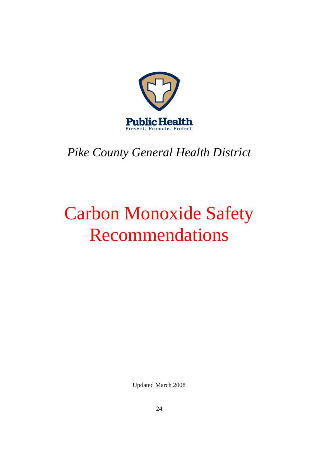

## *Pike County General Health District*

# Carbon Monoxide Safety Recommendations

Updated March 2008